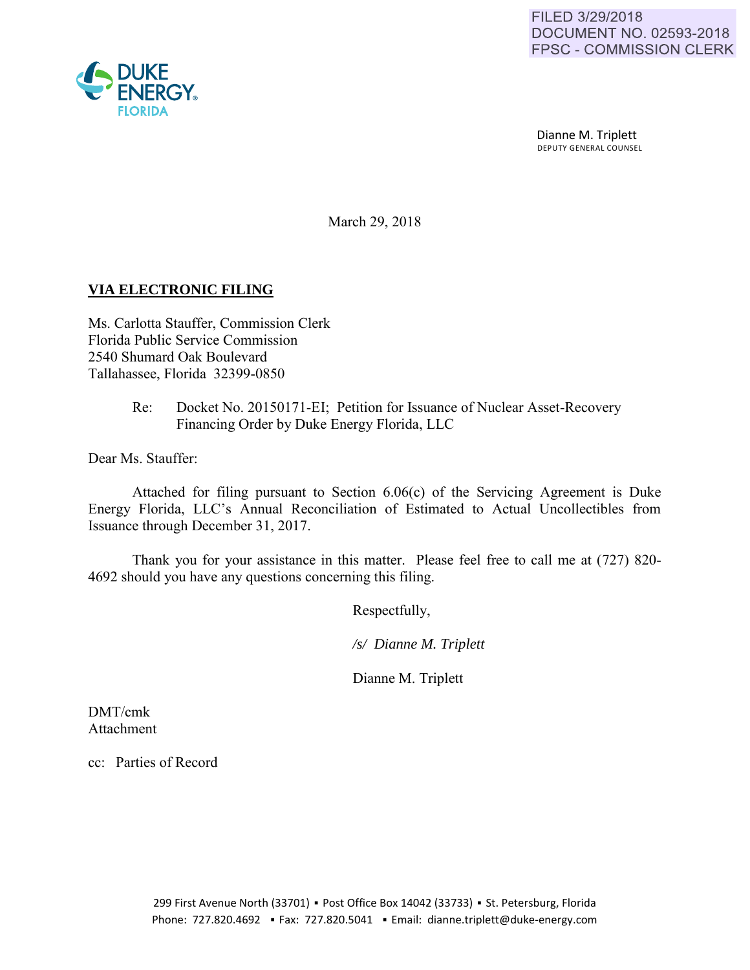

 Dianne M. Triplett DEPUTY GENERAL COUNSEL

March 29, 2018

## **VIA ELECTRONIC FILING**

Ms. Carlotta Stauffer, Commission Clerk Florida Public Service Commission 2540 Shumard Oak Boulevard Tallahassee, Florida 32399-0850

## Re: Docket No. 20150171-EI; Petition for Issuance of Nuclear Asset-Recovery Financing Order by Duke Energy Florida, LLC

Dear Ms. Stauffer:

Attached for filing pursuant to Section 6.06(c) of the Servicing Agreement is Duke Energy Florida, LLC's Annual Reconciliation of Estimated to Actual Uncollectibles from Issuance through December 31, 2017.

Thank you for your assistance in this matter. Please feel free to call me at (727) 820- 4692 should you have any questions concerning this filing.

Respectfully,

 */s/ Dianne M. Triplett* 

Dianne M. Triplett

DMT/cmk Attachment

cc: Parties of Record

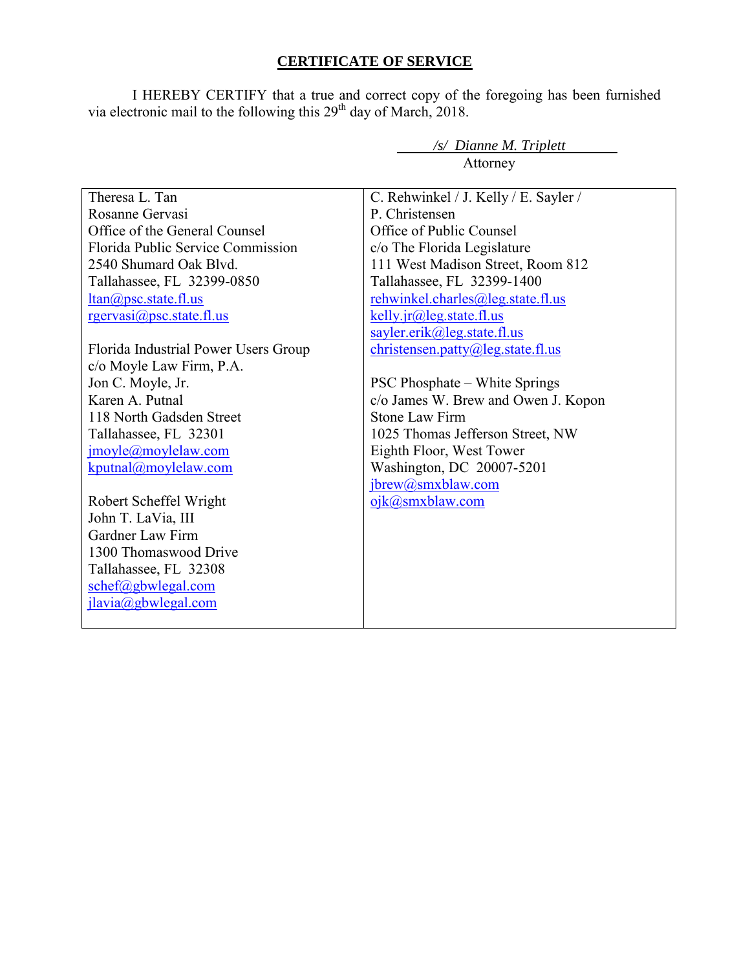## **CERTIFICATE OF SERVICE**

I HEREBY CERTIFY that a true and correct copy of the foregoing has been furnished via electronic mail to the following this  $29<sup>th</sup>$  day of March, 2018.

|                                      | Attorney                              |  |  |  |  |  |
|--------------------------------------|---------------------------------------|--|--|--|--|--|
| Theresa L. Tan                       | C. Rehwinkel / J. Kelly / E. Sayler / |  |  |  |  |  |
| Rosanne Gervasi                      | P Christensen                         |  |  |  |  |  |
| Office of the General Counsel        | Office of Public Counsel              |  |  |  |  |  |
|                                      |                                       |  |  |  |  |  |
| Florida Public Service Commission    | c/o The Florida Legislature           |  |  |  |  |  |
| 2540 Shumard Oak Blvd.               | 111 West Madison Street, Room 812     |  |  |  |  |  |
| Tallahassee, FL 32399-0850           | Tallahassee, FL 32399-1400            |  |  |  |  |  |
| $ltan(\partial)$ psc. state fl.us    | rehwinkel.charles@leg.state.fl.us     |  |  |  |  |  |
| rgervasi@psc.state.fl.us             | $kelly$ . $ir@leg. state. fl. us$     |  |  |  |  |  |
|                                      | sayler.erik@leg.state.fl.us           |  |  |  |  |  |
| Florida Industrial Power Users Group | christensen.path@leg.state.f1.us      |  |  |  |  |  |
| c/o Moyle Law Firm, P.A.             |                                       |  |  |  |  |  |
| Jon C. Moyle, Jr.                    | <b>PSC Phosphate – White Springs</b>  |  |  |  |  |  |
| Karen A. Putnal                      | c/o James W. Brew and Owen J. Kopon   |  |  |  |  |  |
| 118 North Gadsden Street             | <b>Stone Law Firm</b>                 |  |  |  |  |  |
| Tallahassee, FL 32301                | 1025 Thomas Jefferson Street, NW      |  |  |  |  |  |
| jmoyle@moylelaw.com                  | Eighth Floor, West Tower              |  |  |  |  |  |
| kputnal@movlelaw.com                 | Washington, DC 20007-5201             |  |  |  |  |  |
|                                      | jbrew@smxblaw.com                     |  |  |  |  |  |
| Robert Scheffel Wright               | ojk@smxblaw.com                       |  |  |  |  |  |
| John T. LaVia, III                   |                                       |  |  |  |  |  |
| Gardner Law Firm                     |                                       |  |  |  |  |  |
| 1300 Thomaswood Drive                |                                       |  |  |  |  |  |
| Tallahassee, FL 32308                |                                       |  |  |  |  |  |
| schef@gbwlegal.com                   |                                       |  |  |  |  |  |
| jlavia@gbwlegal.com                  |                                       |  |  |  |  |  |
|                                      |                                       |  |  |  |  |  |
|                                      |                                       |  |  |  |  |  |

*/s/ Dianne M. Triplett*